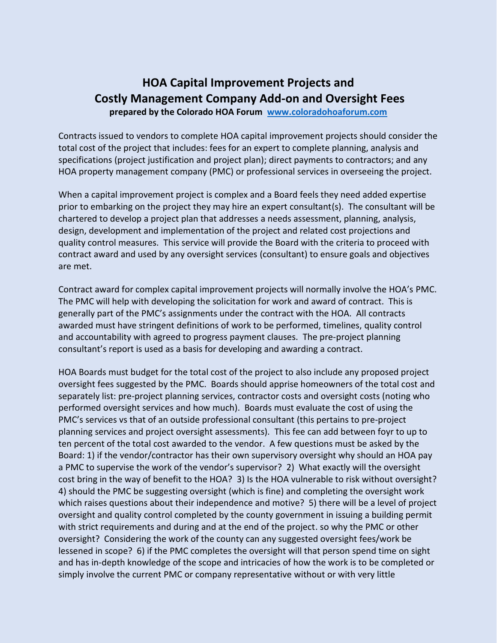## **HOA Capital Improvement Projects and Costly Management Company Add-on and Oversight Fees prepared by the Colorado HOA Forum [www.coloradohoaforum.com](http://www.coloradohoaforum.com/)**

Contracts issued to vendors to complete HOA capital improvement projects should consider the total cost of the project that includes: fees for an expert to complete planning, analysis and specifications (project justification and project plan); direct payments to contractors; and any HOA property management company (PMC) or professional services in overseeing the project.

When a capital improvement project is complex and a Board feels they need added expertise prior to embarking on the project they may hire an expert consultant(s). The consultant will be chartered to develop a project plan that addresses a needs assessment, planning, analysis, design, development and implementation of the project and related cost projections and quality control measures. This service will provide the Board with the criteria to proceed with contract award and used by any oversight services (consultant) to ensure goals and objectives are met.

Contract award for complex capital improvement projects will normally involve the HOA's PMC. The PMC will help with developing the solicitation for work and award of contract. This is generally part of the PMC's assignments under the contract with the HOA. All contracts awarded must have stringent definitions of work to be performed, timelines, quality control and accountability with agreed to progress payment clauses. The pre-project planning consultant's report is used as a basis for developing and awarding a contract.

HOA Boards must budget for the total cost of the project to also include any proposed project oversight fees suggested by the PMC. Boards should apprise homeowners of the total cost and separately list: pre-project planning services, contractor costs and oversight costs (noting who performed oversight services and how much). Boards must evaluate the cost of using the PMC's services vs that of an outside professional consultant (this pertains to pre-project planning services and project oversight assessments). This fee can add between foyr to up to ten percent of the total cost awarded to the vendor. A few questions must be asked by the Board: 1) if the vendor/contractor has their own supervisory oversight why should an HOA pay a PMC to supervise the work of the vendor's supervisor? 2) What exactly will the oversight cost bring in the way of benefit to the HOA? 3) Is the HOA vulnerable to risk without oversight? 4) should the PMC be suggesting oversight (which is fine) and completing the oversight work which raises questions about their independence and motive? 5) there will be a level of project oversight and quality control completed by the county government in issuing a building permit with strict requirements and during and at the end of the project. so why the PMC or other oversight? Considering the work of the county can any suggested oversight fees/work be lessened in scope? 6) if the PMC completes the oversight will that person spend time on sight and has in-depth knowledge of the scope and intricacies of how the work is to be completed or simply involve the current PMC or company representative without or with very little